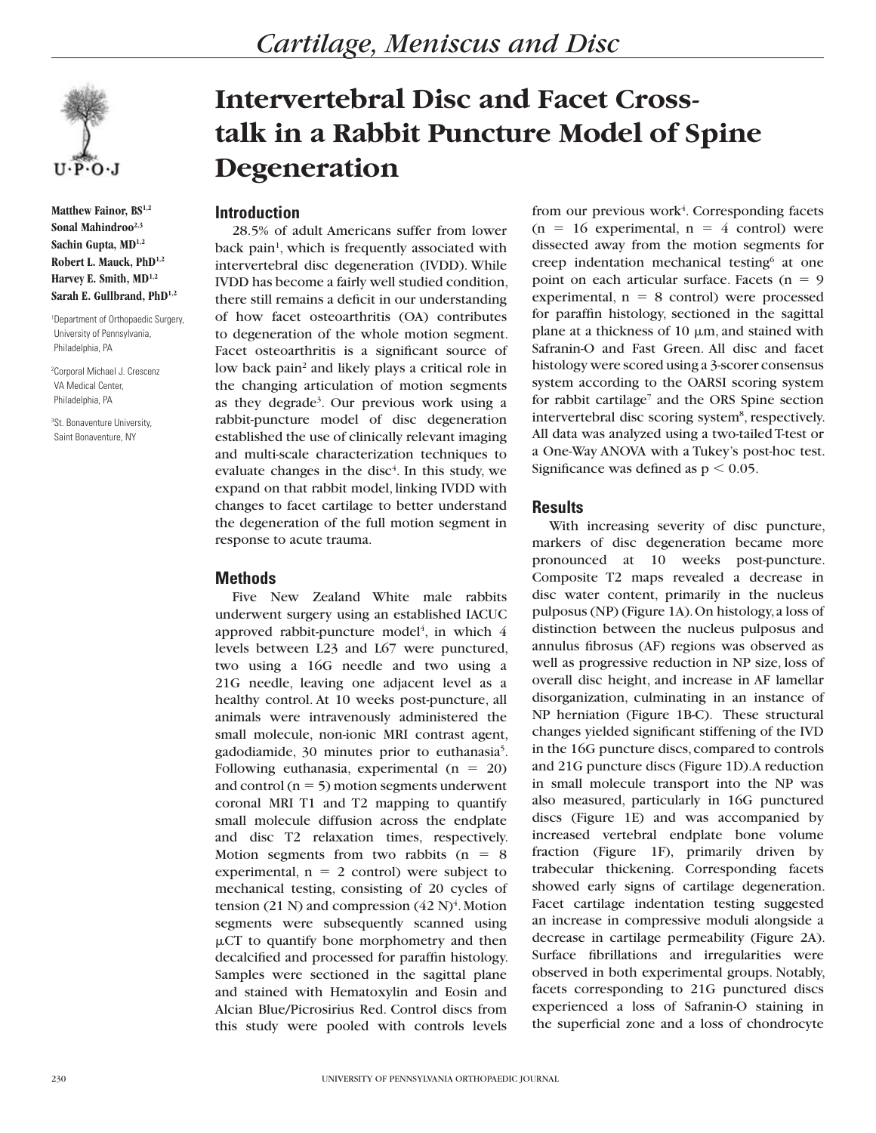

**Matthew Fainor, BS1,2** Sonal Mahindroo<sup>2,3</sup> **Sachin Gupta, MD1,2 Robert L. Mauck, PhD1,2 Harvey E. Smith, MD1,2 Sarah E. Gullbrand, PhD1,2**

1 Department of Orthopaedic Surgery, University of Pennsylvania, Philadelphia, PA

2 Corporal Michael J. Crescenz VA Medical Center, Philadelphia, PA

3 St. Bonaventure University, Saint Bonaventure, NY

# **Intervertebral Disc and Facet Crosstalk in a Rabbit Puncture Model of Spine Degeneration**

### **Introduction**

28.5% of adult Americans suffer from lower back pain<sup>1</sup>, which is frequently associated with intervertebral disc degeneration (IVDD). While IVDD has become a fairly well studied condition, there still remains a deficit in our understanding of how facet osteoarthritis (OA) contributes to degeneration of the whole motion segment. Facet osteoarthritis is a significant source of low back pain<sup>2</sup> and likely plays a critical role in the changing articulation of motion segments as they degrade3 . Our previous work using a rabbit-puncture model of disc degeneration established the use of clinically relevant imaging and multi-scale characterization techniques to evaluate changes in the disc $4$ . In this study, we expand on that rabbit model, linking IVDD with changes to facet cartilage to better understand the degeneration of the full motion segment in response to acute trauma.

## **Methods**

Five New Zealand White male rabbits underwent surgery using an established IACUC approved rabbit-puncture model<sup>4</sup>, in which  $4$ levels between L23 and L67 were punctured, two using a 16G needle and two using a 21G needle, leaving one adjacent level as a healthy control. At 10 weeks post-puncture, all animals were intravenously administered the small molecule, non-ionic MRI contrast agent, gadodiamide, 30 minutes prior to euthanasia<sup>5</sup>. Following euthanasia, experimental  $(n = 20)$ and control ( $n = 5$ ) motion segments underwent coronal MRI T1 and T2 mapping to quantify small molecule diffusion across the endplate and disc T2 relaxation times, respectively. Motion segments from two rabbits ( $n = 8$ experimental,  $n = 2$  control) were subject to mechanical testing, consisting of 20 cycles of tension (21 N) and compression  $(42 \text{ N})^4$ . Motion segments were subsequently scanned using  $\mu$ CT to quantify bone morphometry and then decalcified and processed for paraffin histology. Samples were sectioned in the sagittal plane and stained with Hematoxylin and Eosin and Alcian Blue/Picrosirius Red. Control discs from this study were pooled with controls levels

from our previous work<sup>4</sup>. Corresponding facets  $(n = 16$  experimental,  $n = 4$  control) were dissected away from the motion segments for creep indentation mechanical testing<sup>6</sup> at one point on each articular surface. Facets  $(n = 9)$ experimental,  $n = 8$  control) were processed for paraffin histology, sectioned in the sagittal plane at a thickness of 10  $\mu$ m, and stained with Safranin-O and Fast Green. All disc and facet histology were scored using a 3-scorer consensus system according to the OARSI scoring system for rabbit cartilage<sup>7</sup> and the ORS Spine section intervertebral disc scoring system<sup>8</sup>, respectively. All data was analyzed using a two-tailed T-test or a One-Way ANOVA with a Tukey's post-hoc test. Significance was defined as  $p < 0.05$ .

#### **Results**

With increasing severity of disc puncture, markers of disc degeneration became more pronounced at 10 weeks post-puncture. Composite T2 maps revealed a decrease in disc water content, primarily in the nucleus pulposus (NP) (Figure 1A). On histology, a loss of distinction between the nucleus pulposus and annulus fibrosus (AF) regions was observed as well as progressive reduction in NP size, loss of overall disc height, and increase in AF lamellar disorganization, culminating in an instance of NP herniation (Figure 1B-C). These structural changes yielded significant stiffening of the IVD in the 16G puncture discs, compared to controls and 21G puncture discs (Figure 1D). A reduction in small molecule transport into the NP was also measured, particularly in 16G punctured discs (Figure 1E) and was accompanied by increased vertebral endplate bone volume fraction (Figure 1F), primarily driven by trabecular thickening. Corresponding facets showed early signs of cartilage degeneration. Facet cartilage indentation testing suggested an increase in compressive moduli alongside a decrease in cartilage permeability (Figure 2A). Surface fibrillations and irregularities were observed in both experimental groups. Notably, facets corresponding to 21G punctured discs experienced a loss of Safranin-O staining in the superficial zone and a loss of chondrocyte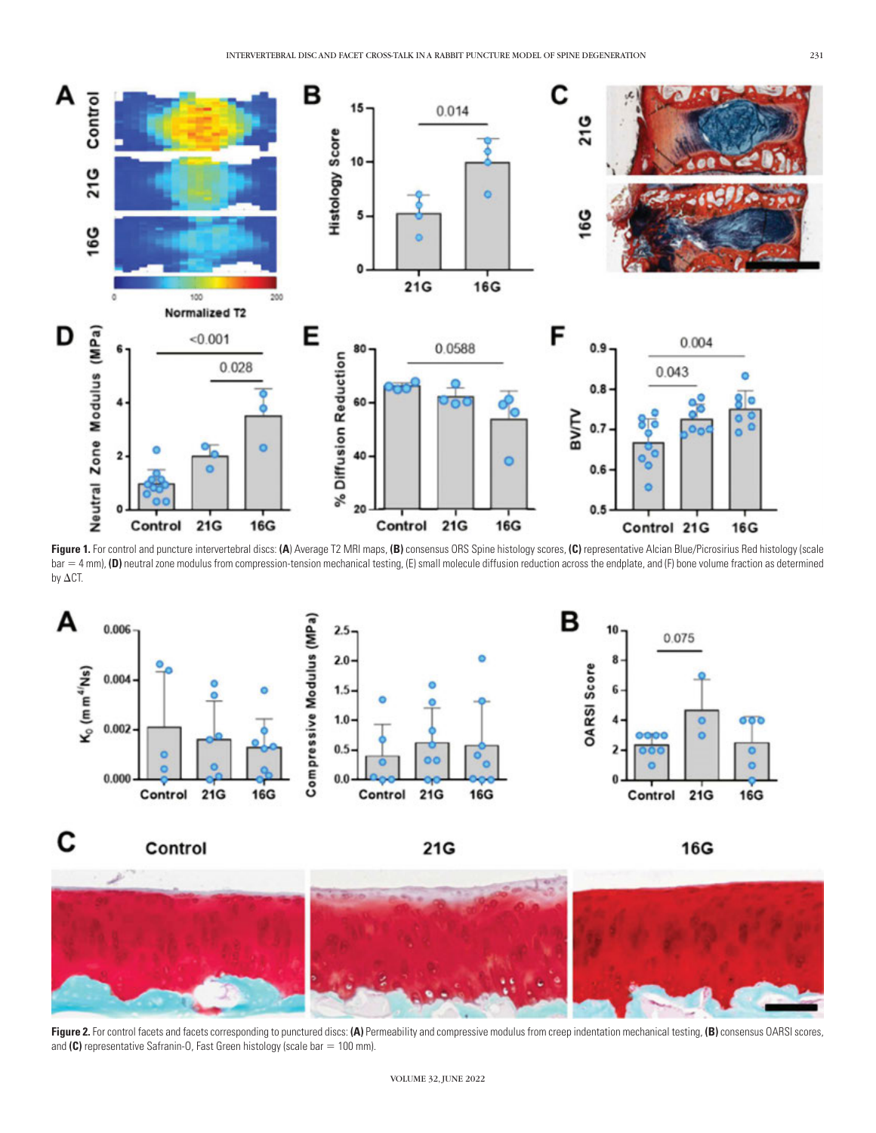

**Figure 1.** For control and puncture intervertebral discs: **(A**) Average T2 MRI maps, **(B)** consensus ORS Spine histology scores, **(C)** representative Alcian Blue/Picrosirius Red histology (scale  $bar = 4$  mm), (D) neutral zone modulus from compression-tension mechanical testing, (E) small molecule diffusion reduction across the endplate, and (F) bone volume fraction as determined by  $\Delta$ CT.



С Control

21G

**16G** 



Figure 2. For control facets and facets corresponding to punctured discs: (A) Permeability and compressive modulus from creep indentation mechanical testing, (B) consensus OARSI scores, and (C) representative Safranin-O, Fast Green histology (scale bar = 100 mm).